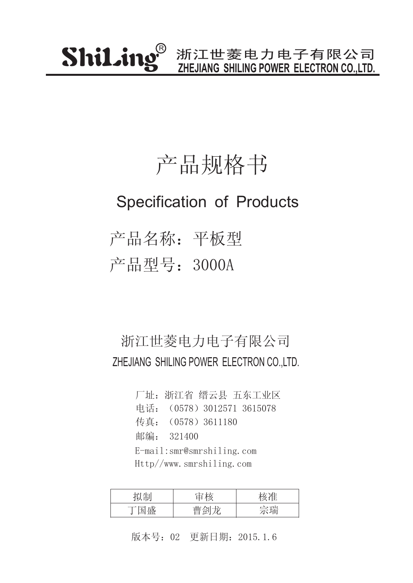### 产品规格书

### Specification of Products

产品名称:平板型 产品型号:3000A

#### 浙江世菱电力电子有限公司 ZHEJIANG SHILING POWER ELECTRON CO.,LTD.

厂址:浙江省 缙云县 五东工业区 传真:(0578)3611180 邮编: 321400 电话:(0578)3012571 3615078 E-mail:smr@smrshiling.com Http//www.smrshiling.com

| 7 H⊤l                                         | 나눈    |    |
|-----------------------------------------------|-------|----|
| 一心<br>$\overline{\phantom{a}}$<br>┯<br>علىلىك | $\pm$ | 今理 |

版本号:02 更新日期:2015.1.6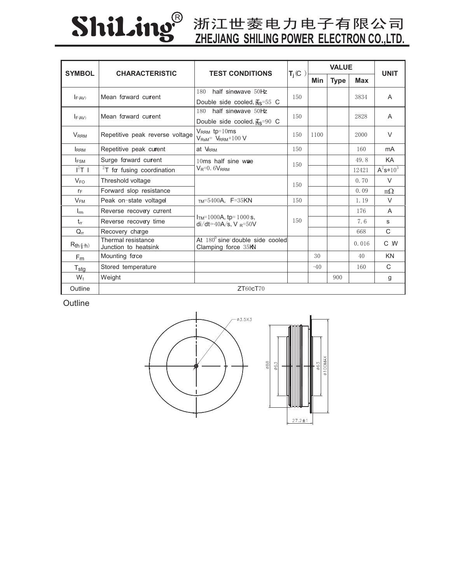# ShiLing®

## **ZHEJIANG SHILING POWER ELECTRON CO.,LTD.**

| <b>SYMBOL</b><br><b>CHARACTERISTIC</b> |                                            | <b>TEST CONDITIONS</b>                                          | $T_j(C)$ | <b>VALUE</b> |             |            | <b>UNIT</b>  |
|----------------------------------------|--------------------------------------------|-----------------------------------------------------------------|----------|--------------|-------------|------------|--------------|
|                                        |                                            |                                                                 |          | Min          | <b>Type</b> | <b>Max</b> |              |
| Mean forward current<br>$I_{F(AV)}$    |                                            | half sinewave 50Hz<br>180                                       | 150      |              |             | 3834       | A            |
|                                        |                                            | Double side cooled, $\overline{H}_s$ =55 C                      |          |              |             |            |              |
| F (AV)                                 | Mean forward current                       | half sinewave 50Hz<br>180                                       | 150      |              |             | 2828       | A            |
|                                        |                                            | Double side cooled, $\overline{H}_S$ =90 C                      |          |              |             |            |              |
| <b>V</b> <sub>RRM</sub>                | Repetitive peak reverse voltage            | $V_{RRM}$ tp=10ms<br>$V_{\text{RsM}} = V_{\text{RRM}} + 100 V$  | 150      | 1100         |             | 2000       | $\vee$       |
| <b>IRRM</b>                            | Repetitive peak curent                     | at VRRM                                                         | 150      |              |             | 160        | mA           |
| <b>IFSM</b>                            | Surge forward current                      | 10ms half sine wae<br>$V_R = 0.6V_{RRM}$                        | 150      |              |             | 49.8       | KA           |
| $I^2T$ 1                               | $2T$ for fusing coordination               |                                                                 |          |              |             | 12421      | $A^2s*10^3$  |
| $V_{FO}$                               | Threshold voltage                          |                                                                 | 150      |              |             | 0.70       | $\vee$       |
| $r_F$                                  | Forward slop resistance                    |                                                                 |          |              |             | 0.09       | $m\Omega$    |
| V <sub>FM</sub>                        | Peak on-state voltagel                     | $TM = 5400A$ , F=35KN                                           | 150      |              |             | 1.19       | $\vee$       |
| $I_{rm}$                               | Reverse recovery current                   | $ITM=1000A$ , tp= 1000 s,<br>$di/dt = 40A/s$ , V R=50V          | 150      |              |             | 176        | A            |
| $t_{rr}$                               | Reverse recovery time                      |                                                                 |          |              |             | 7.6        | S            |
| $Q_{rr}$                               | Recovery charge                            |                                                                 |          |              |             | 668        | $\mathsf{C}$ |
| $R_{th}(\phi+h)$                       | Thermal resistance<br>Junction to heatsink | At $180^{\circ}$ sine double side cooled<br>Clamping force 35KN |          |              |             | 0.016      | C W          |
| F <sub>m</sub>                         | Mounting face                              |                                                                 |          | 30           |             | 40         | <b>KN</b>    |
| $T_{\text{stg}}$                       | Stored temperature                         |                                                                 |          | $-40$        |             | 160        | $\mathsf{C}$ |
| $W_t$                                  | Weight                                     |                                                                 |          |              | 900         |            | g            |
| Outline                                |                                            | ZT60cT70                                                        |          |              |             |            |              |

**Outline**